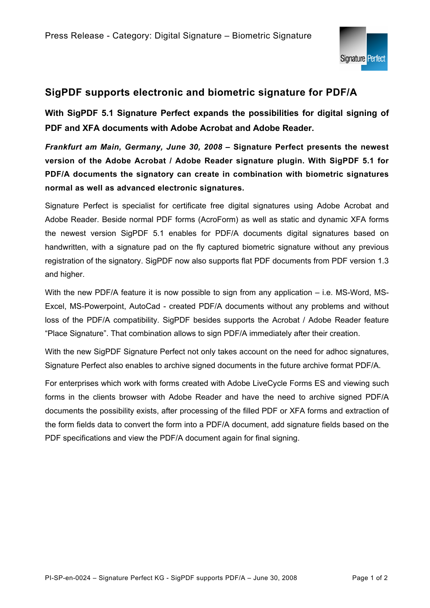

## **SigPDF supports electronic and biometric signature for PDF/A**

**With SigPDF 5.1 Signature Perfect expands the possibilities for digital signing of PDF and XFA documents with Adobe Acrobat and Adobe Reader.** 

*Frankfurt am Main, Germany, June 30, 2008* **– Signature Perfect presents the newest version of the Adobe Acrobat / Adobe Reader signature plugin. With SigPDF 5.1 for PDF/A documents the signatory can create in combination with biometric signatures normal as well as advanced electronic signatures.** 

Signature Perfect is specialist for certificate free digital signatures using Adobe Acrobat and Adobe Reader. Beside normal PDF forms (AcroForm) as well as static and dynamic XFA forms the newest version SigPDF 5.1 enables for PDF/A documents digital signatures based on handwritten, with a signature pad on the fly captured biometric signature without any previous registration of the signatory. SigPDF now also supports flat PDF documents from PDF version 1.3 and higher.

With the new PDF/A feature it is now possible to sign from any application – i.e. MS-Word, MS-Excel, MS-Powerpoint, AutoCad - created PDF/A documents without any problems and without loss of the PDF/A compatibility. SigPDF besides supports the Acrobat / Adobe Reader feature "Place Signature". That combination allows to sign PDF/A immediately after their creation.

With the new SigPDF Signature Perfect not only takes account on the need for adhoc signatures, Signature Perfect also enables to archive signed documents in the future archive format PDF/A.

For enterprises which work with forms created with Adobe LiveCycle Forms ES and viewing such forms in the clients browser with Adobe Reader and have the need to archive signed PDF/A documents the possibility exists, after processing of the filled PDF or XFA forms and extraction of the form fields data to convert the form into a PDF/A document, add signature fields based on the PDF specifications and view the PDF/A document again for final signing.